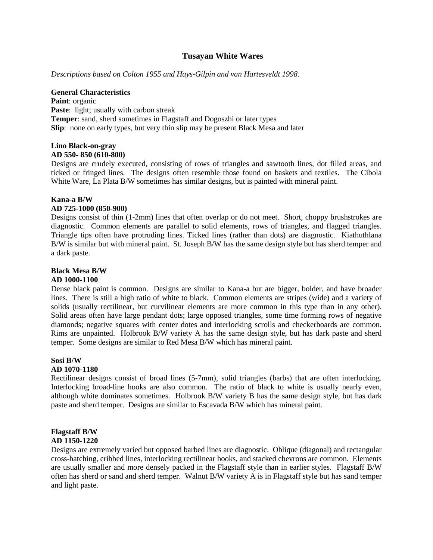## **Tusayan White Wares**

*Descriptions based on Colton 1955 and Hays-Gilpin and van Hartesveldt 1998.* 

### **General Characteristics**

Paint: organic **Paste:** light; usually with carbon streak **Temper**: sand, sherd sometimes in Flagstaff and Dogoszhi or later types **Slip**: none on early types, but very thin slip may be present Black Mesa and later

### **Lino Black-on-gray AD 550- 850 (610-800)**

Designs are crudely executed, consisting of rows of triangles and sawtooth lines, dot filled areas, and ticked or fringed lines. The designs often resemble those found on baskets and textiles. The Cibola White Ware, La Plata B/W sometimes has similar designs, but is painted with mineral paint.

### **Kana-a B/W**

### **AD 725-1000 (850-900)**

Designs consist of thin (1-2mm) lines that often overlap or do not meet. Short, choppy brushstrokes are diagnostic. Common elements are parallel to solid elements, rows of triangles, and flagged triangles. Triangle tips often have protruding lines. Ticked lines (rather than dots) are diagnostic. Kiathuthlana B/W is similar but with mineral paint. St. Joseph B/W has the same design style but has sherd temper and a dark paste.

## **Black Mesa B/W**

### **AD 1000-1100**

Dense black paint is common. Designs are similar to Kana-a but are bigger, bolder, and have broader lines. There is still a high ratio of white to black. Common elements are stripes (wide) and a variety of solids (usually rectilinear, but curvilinear elements are more common in this type than in any other). Solid areas often have large pendant dots; large opposed triangles, some time forming rows of negative diamonds; negative squares with center dotes and interlocking scrolls and checkerboards are common. Rims are unpainted. Holbrook B/W variety A has the same design style, but has dark paste and sherd temper. Some designs are similar to Red Mesa B/W which has mineral paint.

### **Sosi B/W**

### **AD 1070-1180**

Rectilinear designs consist of broad lines (5-7mm), solid triangles (barbs) that are often interlocking. Interlocking broad-line hooks are also common. The ratio of black to white is usually nearly even, although white dominates sometimes. Holbrook B/W variety B has the same design style, but has dark paste and sherd temper. Designs are similar to Escavada B/W which has mineral paint.

### **Flagstaff B/W AD 1150-1220**

Designs are extremely varied but opposed barbed lines are diagnostic. Oblique (diagonal) and rectangular cross-hatching, cribbed lines, interlocking rectilinear hooks, and stacked chevrons are common. Elements are usually smaller and more densely packed in the Flagstaff style than in earlier styles. Flagstaff B/W often has sherd or sand and sherd temper. Walnut B/W variety A is in Flagstaff style but has sand temper and light paste.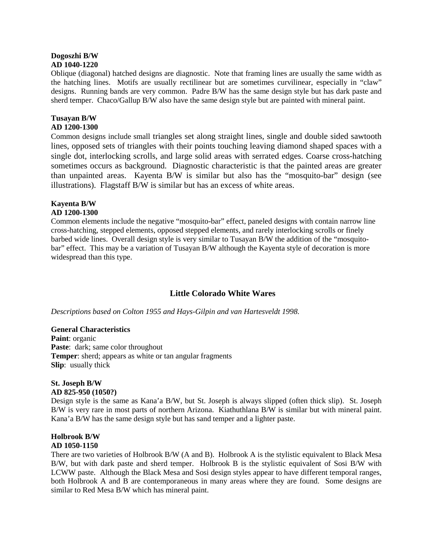### **Dogoszhi B/W AD 1040-1220**

Oblique (diagonal) hatched designs are diagnostic. Note that framing lines are usually the same width as the hatching lines. Motifs are usually rectilinear but are sometimes curvilinear, especially in "claw" designs. Running bands are very common. Padre B/W has the same design style but has dark paste and sherd temper. Chaco/Gallup B/W also have the same design style but are painted with mineral paint.

# **Tusayan B/W**

## **AD 1200-1300**

Common designs include small triangles set along straight lines, single and double sided sawtooth lines, opposed sets of triangles with their points touching leaving diamond shaped spaces with a single dot, interlocking scrolls, and large solid areas with serrated edges. Coarse cross-hatching sometimes occurs as background. Diagnostic characteristic is that the painted areas are greater than unpainted areas. Kayenta B/W is similar but also has the "mosquito-bar" design (see illustrations). Flagstaff B/W is similar but has an excess of white areas.

# **Kayenta B/W**

## **AD 1200-1300**

Common elements include the negative "mosquito-bar" effect, paneled designs with contain narrow line cross-hatching, stepped elements, opposed stepped elements, and rarely interlocking scrolls or finely barbed wide lines. Overall design style is very similar to Tusayan B/W the addition of the "mosquitobar" effect. This may be a variation of Tusayan B/W although the Kayenta style of decoration is more widespread than this type.

# **Little Colorado White Wares**

*Descriptions based on Colton 1955 and Hays-Gilpin and van Hartesveldt 1998.* 

# **General Characteristics**

**Paint**: organic Paste: dark; same color throughout **Temper**: sherd; appears as white or tan angular fragments **Slip**: usually thick

### **St. Joseph B/W AD 825-950 (1050?)**

Design style is the same as Kana'a B/W, but St. Joseph is always slipped (often thick slip). St. Joseph B/W is very rare in most parts of northern Arizona. Kiathuthlana B/W is similar but with mineral paint. Kana'a B/W has the same design style but has sand temper and a lighter paste.

# **Holbrook B/W AD 1050-1150**

There are two varieties of Holbrook B/W (A and B). Holbrook A is the stylistic equivalent to Black Mesa B/W, but with dark paste and sherd temper. Holbrook B is the stylistic equivalent of Sosi B/W with LCWW paste. Although the Black Mesa and Sosi design styles appear to have different temporal ranges, both Holbrook A and B are contemporaneous in many areas where they are found. Some designs are similar to Red Mesa B/W which has mineral paint.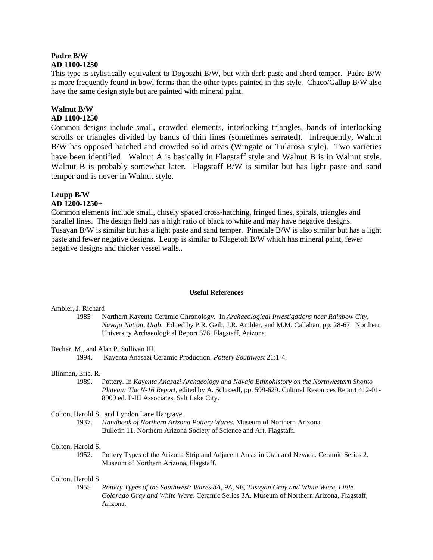### **Padre B/W AD 1100-1250**

This type is stylistically equivalent to Dogoszhi B/W, but with dark paste and sherd temper. Padre B/W is more frequently found in bowl forms than the other types painted in this style. Chaco/Gallup B/W also have the same design style but are painted with mineral paint.

# **Walnut B/W**

# **AD 1100-1250**

Common designs include small, crowded elements, interlocking triangles, bands of interlocking scrolls or triangles divided by bands of thin lines (sometimes serrated). Infrequently, Walnut B/W has opposed hatched and crowded solid areas (Wingate or Tularosa style). Two varieties have been identified. Walnut A is basically in Flagstaff style and Walnut B is in Walnut style. Walnut B is probably somewhat later. Flagstaff B/W is similar but has light paste and sand temper and is never in Walnut style.

# **Leupp B/W**

### **AD 1200-1250+**

Common elements include small, closely spaced cross-hatching, fringed lines, spirals, triangles and parallel lines. The design field has a high ratio of black to white and may have negative designs. Tusayan B/W is similar but has a light paste and sand temper. Pinedale B/W is also similar but has a light paste and fewer negative designs. Leupp is similar to Klagetoh B/W which has mineral paint, fewer negative designs and thicker vessel walls..

### **Useful References**

### Ambler, J. Richard

- 1985 Northern Kayenta Ceramic Chronology. In *Archaeological Investigations near Rainbow City, Navajo Nation, Utah*. Edited by P.R. Geib, J.R. Ambler, and M.M. Callahan, pp. 28-67. Northern University Archaeological Report 576, Flagstaff, Arizona.
- Becher, M., and Alan P. Sullivan III.

1994. Kayenta Anasazi Ceramic Production. *Pottery Southwest* 21:1-4.

# Blinman, Eric. R.

1989. Pottery. In *Kayenta Anasazi Archaeology and Navajo Ethnohistory on the Northwestern Shonto Plateau: The N-16 Report*, edited by A. Schroedl, pp. 599-629. Cultural Resources Report 412-01- 8909 ed. P-III Associates, Salt Lake City.

### Colton, Harold S., and Lyndon Lane Hargrave.

1937. *Handbook of Northern Arizona Pottery Wares*. Museum of Northern Arizona Bulletin 11. Northern Arizona Society of Science and Art, Flagstaff.

### Colton, Harold S.

1952. Pottery Types of the Arizona Strip and Adjacent Areas in Utah and Nevada. Ceramic Series 2. Museum of Northern Arizona, Flagstaff.

### Colton, Harold S

1955 *Pottery Types of the Southwest: Wares 8A, 9A, 9B, Tusayan Gray and White Ware, Little Colorado Gray and White Ware*. Ceramic Series 3A. Museum of Northern Arizona, Flagstaff, Arizona.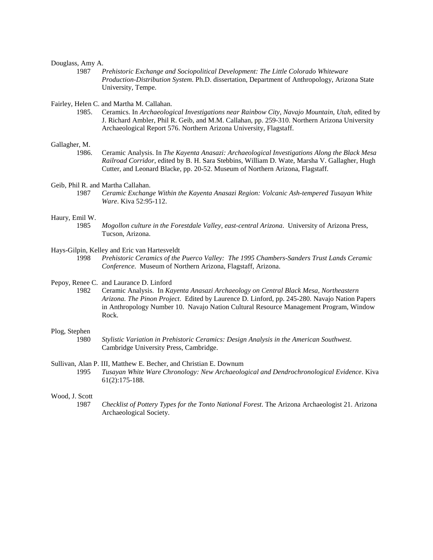### Douglass, Amy A.

1987 *Prehistoric Exchange and Sociopolitical Development: The Little Colorado Whiteware Production-Distribution System*. Ph.D. dissertation, Department of Anthropology, Arizona State University, Tempe.

Fairley, Helen C. and Martha M. Callahan.

1985. Ceramics. In *Archaeological Investigations near Rainbow City, Navajo Mountain, Utah*, edited by J. Richard Ambler, Phil R. Geib, and M.M. Callahan, pp. 259-310. Northern Arizona University Archaeological Report 576. Northern Arizona University, Flagstaff.

#### Gallagher, M.

1986. Ceramic Analysis. In *The Kayenta Anasazi: Archaeological Investigations Along the Black Mesa Railroad Corridor*, edited by B. H. Sara Stebbins, William D. Wate, Marsha V. Gallagher, Hugh Cutter, and Leonard Blacke, pp. 20-52. Museum of Northern Arizona, Flagstaff.

Geib, Phil R. and Martha Callahan.

1987 *Ceramic Exchange Within the Kayenta Anasazi Region: Volcanic Ash-tempered Tusayan White Ware*. Kiva 52:95-112.

#### Haury, Emil W.

1985 *Mogollon culture in the Forestdale Valley, east-central Arizona*. University of Arizona Press, Tucson, Arizona.

#### Hays-Gilpin, Kelley and Eric van Hartesveldt

1998 *Prehistoric Ceramics of the Puerco Valley: The 1995 Chambers-Sanders Trust Lands Ceramic Conference*. Museum of Northern Arizona, Flagstaff, Arizona.

#### Pepoy, Renee C. and Laurance D. Linford

1982 Ceramic Analysis. In *Kayenta Anasazi Archaeology on Central Black Mesa, Northeastern Arizona. The Pinon Project*. Edited by Laurence D. Linford, pp. 245-280. Navajo Nation Papers in Anthropology Number 10. Navajo Nation Cultural Resource Management Program, Window Rock.

### Plog, Stephen

1980 *Stylistic Variation in Prehistoric Ceramics: Design Analysis in the American Southwest*. Cambridge University Press, Cambridge.

#### Sullivan, Alan P. III, Matthew E. Becher, and Christian E. Downum

1995 *Tusayan White Ware Chronology: New Archaeological and Dendrochronological Evidence*. Kiva 61(2):175-188.

### Wood, J. Scott

1987 *Checklist of Pottery Types for the Tonto National Forest*. The Arizona Archaeologist 21. Arizona Archaeological Society.